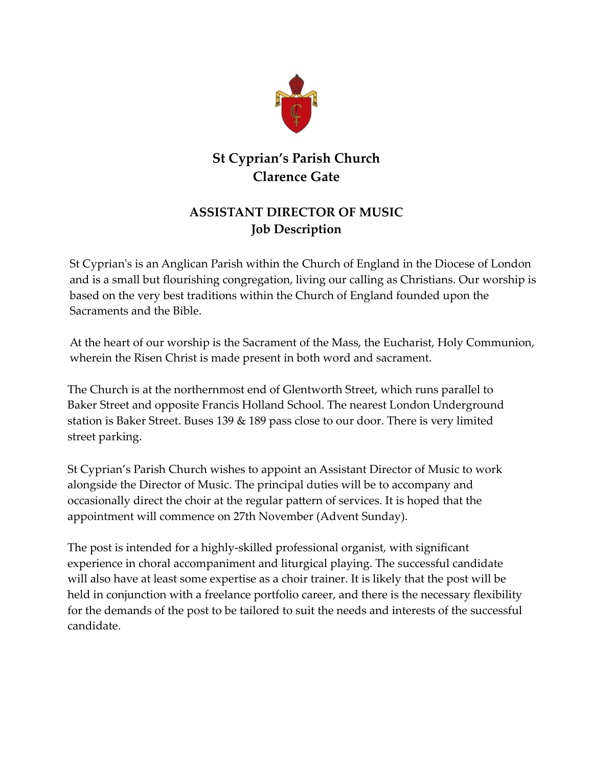

## **St Cyprian's Parish Church Clarence Gate**

## **ASSISTANT DIRECTOR OF MUSIC Job Description**

St Cyprian's is an Anglican Parish within the Church [of England](http://www.cofe.anglican.org/) in the [Diocese of London](http://www.london.anglican.org/) and is a small but flourishing congregation, living our calling as Christians. Our worship is based on the very best traditions within the Church of England founded upon the Sacraments and the Bible.

At the heart of our worship is the Sacrament of the Mass, the Eucharist, Holy Communion, wherein the Risen Christ is made present in both word and sacrament.

The Church is at the northernmost end of Glentworth Street, which runs parallel to Baker Street and opposite Francis Holland School. The nearest London Underground station is Baker Street. Buses 139  $\&$  189 pass close to our door. There is very limited street parking.

St Cyprian's Parish Church wishes to appoint an Assistant Director of Music to work alongside the Director of Music. The principal duties will be to accompany and occasionally direct the choir at the regular pattern of services. It is hoped that the appointment will commence on 27th November (Advent Sunday).

The post is intended for a highly-skilled professional organist, with significant experience in choral accompaniment and liturgical playing. The successful candidate will also have at least some expertise as a choir trainer. It is likely that the post will be held in conjunction with a freelance portfolio career, and there is the necessary flexibility for the demands of the post to be tailored to suit the needs and interests of the successful candidate.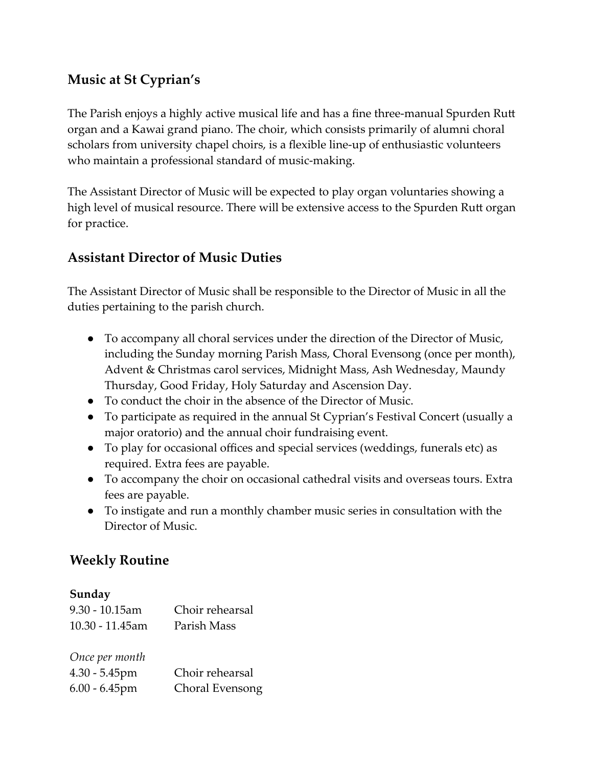## **Music at St Cyprian's**

The Parish enjoys a highly active musical life and has a fine three-manual Spurden Rutt organ and a Kawai grand piano. The choir, which consists primarily of alumni choral scholars from university chapel choirs, is a flexible line-up of enthusiastic volunteers who maintain a professional standard of music-making.

The Assistant Director of Music will be expected to play organ voluntaries showing a high level of musical resource. There will be extensive access to the Spurden Rutt organ for practice.

## **Assistant Director of Music Duties**

The Assistant Director of Music shall be responsible to the Director of Music in all the duties pertaining to the parish church.

- To accompany all choral services under the direction of the Director of Music, including the Sunday morning Parish Mass, Choral Evensong (once per month), Advent & Christmas carol services, Midnight Mass, Ash Wednesday, Maundy Thursday, Good Friday, Holy Saturday and Ascension Day.
- To conduct the choir in the absence of the Director of Music.
- To participate as required in the annual St Cyprian's Festival Concert (usually a major oratorio) and the annual choir fundraising event.
- To play for occasional offices and special services (weddings, funerals etc) as required. Extra fees are payable.
- To accompany the choir on occasional cathedral visits and overseas tours. Extra fees are payable.
- To instigate and run a monthly chamber music series in consultation with the Director of Music.

## **Weekly Routine**

#### **Sunday**

| $9.30 - 10.15$ am<br>10.30 - 11.45am | Choir rehearsal<br>Parish Mass |
|--------------------------------------|--------------------------------|
| Once per month                       |                                |
| $4.30 - 5.45$ pm                     | Choir rehearsal                |
| $6.00 - 6.45$ pm                     | Choral Evensong                |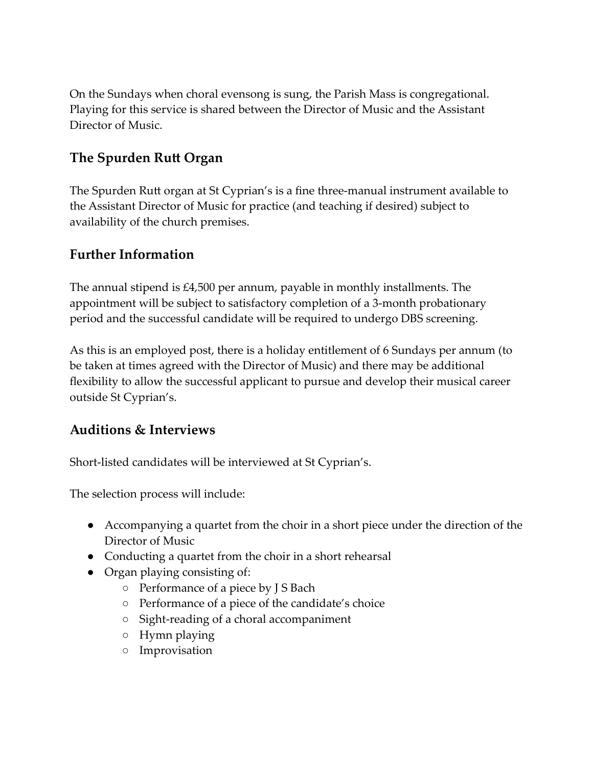On the Sundays when choral evensong is sung, the Parish Mass is congregational. Playing for this service is shared between the Director of Music and the Assistant Director of Music.

## **The Spurden Rutt Organ**

The Spurden Rutt organ at St Cyprian's is a fine three-manual instrument available to the Assistant Director of Music for practice (and teaching if desired) subject to availability of the church premises.

### **Further Information**

The annual stipend is £4,500 per annum, payable in monthly installments. The appointment will be subject to satisfactory completion of a 3-month probationary period and the successful candidate will be required to undergo DBS screening.

As this is an employed post, there is a holiday entitlement of 6 Sundays per annum (to be taken at times agreed with the Director of Music) and there may be additional flexibility to allow the successful applicant to pursue and develop their musical career outside St Cyprian's.

## **Auditions & Interviews**

Short-listed candidates will be interviewed at St Cyprian's.

The selection process will include:

- Accompanying a quartet from the choir in a short piece under the direction of the Director of Music
- Conducting a quartet from the choir in a short rehearsal
- Organ playing consisting of:
	- Performance of a piece by J S Bach
	- Performance of a piece of the candidate's choice
	- Sight-reading of a choral accompaniment
	- Hymn playing
	- Improvisation